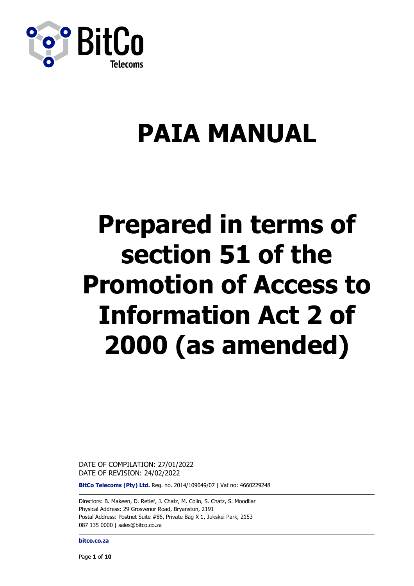

# **PAIA MANUAL**

# **Prepared in terms of section 51 of the Promotion of Access to Information Act 2 of 2000 (as amended)**

DATE OF COMPILATION: 27/01/2022 DATE OF REVISION: 24/02/2022

**BitCo Telecoms (Pty) Ltd.** Reg. no. 2014/109049/07 | Vat no: 4660229248

Directors: B. Makeen, D. Retief, J. Chatz, M. Colin, S. Chatz, S. Moodliar Physical Address: 29 Grosvenor Road, Bryanston, 2191 Postal Address: Postnet Suite #86, Private Bag X 1, Jukskei Park, 2153 087 135 0000 | [sales@bitco.co.za](mailto:sales@bitco.co.za)

**bitco.co.za**

Page **1** of **10**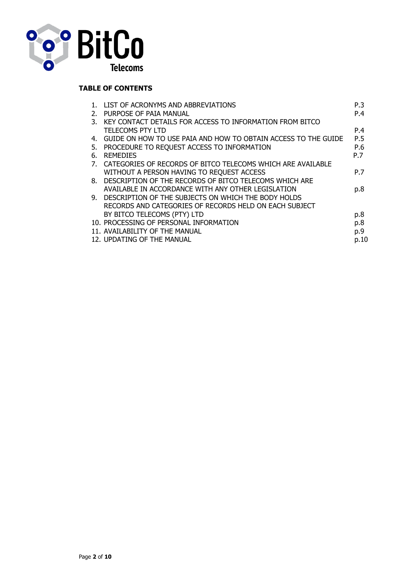

# **TABLE OF CONTENTS**

|    | LIST OF ACRONYMS AND ABBREVIATIONS                             | P.3  |
|----|----------------------------------------------------------------|------|
| 2. | PURPOSE OF PAIA MANUAL                                         | P.4  |
| 3. | KEY CONTACT DETAILS FOR ACCESS TO INFORMATION FROM BITCO       |      |
|    | <b>TELECOMS PTY LTD</b>                                        | P.4  |
| 4. | GUIDE ON HOW TO USE PAIA AND HOW TO OBTAIN ACCESS TO THE GUIDE | P.5  |
| 5. | PROCEDURE TO REQUEST ACCESS TO INFORMATION                     | P.6  |
| 6. | <b>REMEDIES</b>                                                | P.7  |
| 7. | CATEGORIES OF RECORDS OF BITCO TELECOMS WHICH ARE AVAILABLE    |      |
|    | WITHOUT A PERSON HAVING TO REQUEST ACCESS                      | P.7  |
|    | 8. DESCRIPTION OF THE RECORDS OF BITCO TELECOMS WHICH ARE      |      |
|    | AVAILABLE IN ACCORDANCE WITH ANY OTHER LEGISLATION             | p.8  |
| 9. | DESCRIPTION OF THE SUBJECTS ON WHICH THE BODY HOLDS            |      |
|    | RECORDS AND CATEGORIES OF RECORDS HELD ON EACH SUBJECT         |      |
|    | BY BITCO TELECOMS (PTY) LTD                                    | p.8  |
|    | 10. PROCESSING OF PERSONAL INFORMATION                         | p.8  |
|    | 11. AVAILABILITY OF THE MANUAL                                 | p.9  |
|    | 12. UPDATING OF THE MANUAL                                     | p.10 |
|    |                                                                |      |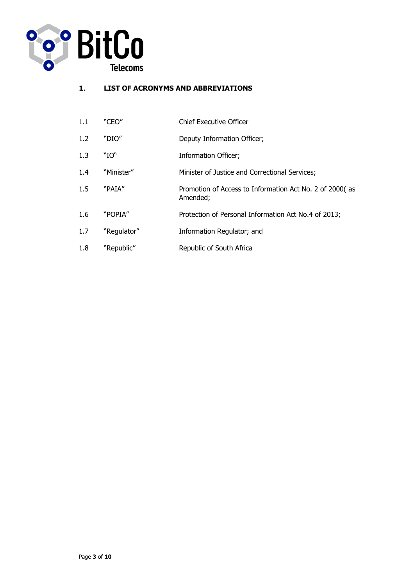

# **1**. **LIST OF ACRONYMS AND ABBREVIATIONS**

| 1.1 | "CEO"       | <b>Chief Executive Officer</b>                                      |
|-----|-------------|---------------------------------------------------------------------|
| 1.2 | "DIO"       | Deputy Information Officer;                                         |
| 1.3 | "IO"        | Information Officer;                                                |
| 1.4 | "Minister"  | Minister of Justice and Correctional Services;                      |
| 1.5 | "PAIA"      | Promotion of Access to Information Act No. 2 of 2000(as<br>Amended; |
| 1.6 | "POPIA"     | Protection of Personal Information Act No.4 of 2013;                |
| 1.7 | "Regulator" | Information Regulator; and                                          |
| 1.8 | "Republic"  | Republic of South Africa                                            |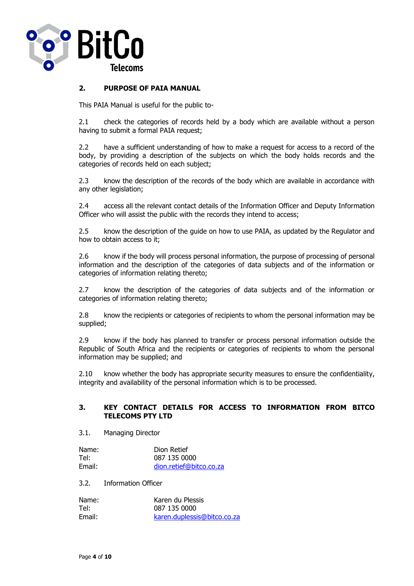

#### **2. PURPOSE OF PAIA MANUAL**

This PAIA Manual is useful for the public to-

2.1 check the categories of records held by a body which are available without a person having to submit a formal PAIA request;

2.2 have a sufficient understanding of how to make a request for access to a record of the body, by providing a description of the subjects on which the body holds records and the categories of records held on each subject;

2.3 know the description of the records of the body which are available in accordance with any other legislation;

2.4 access all the relevant contact details of the Information Officer and Deputy Information Officer who will assist the public with the records they intend to access;

2.5 know the description of the guide on how to use PAIA, as updated by the Regulator and how to obtain access to it;

2.6 know if the body will process personal information, the purpose of processing of personal information and the description of the categories of data subjects and of the information or categories of information relating thereto;

2.7 know the description of the categories of data subjects and of the information or categories of information relating thereto;

2.8 know the recipients or categories of recipients to whom the personal information may be supplied;

2.9 know if the body has planned to transfer or process personal information outside the Republic of South Africa and the recipients or categories of recipients to whom the personal information may be supplied; and

2.10 know whether the body has appropriate security measures to ensure the confidentiality, integrity and availability of the personal information which is to be processed.

#### **3. KEY CONTACT DETAILS FOR ACCESS TO INFORMATION FROM BITCO TELECOMS PTY LTD**

3.1. Managing Director

| Name:  | Dion Retief             |
|--------|-------------------------|
| Tel:   | 087 135 0000            |
| Email: | dion.retief@bitco.co.za |

3.2. Information Officer

| Name:  | Karen du Plessis            |
|--------|-----------------------------|
| Tel:   | 087 135 0000                |
| Email: | karen.duplessis@bitco.co.za |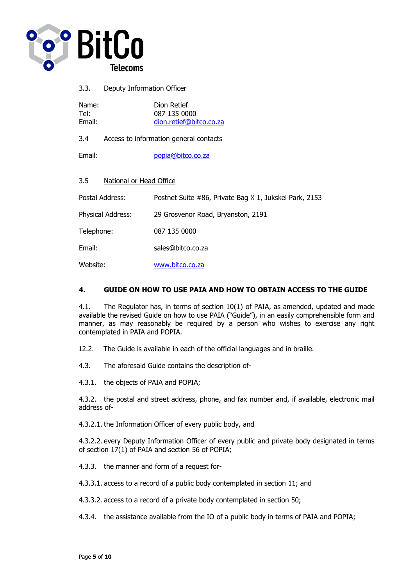

| Name:<br>Tel:<br>Email:        | Dion Retief<br>087 135 0000<br>dion.retief@bitco.co.za |
|--------------------------------|--------------------------------------------------------|
| 3.4                            | Access to information general contacts                 |
| Email:                         | popia@bitco.co.za                                      |
| 3.5<br>National or Head Office |                                                        |
| Postal Address:                | Postnet Suite #86, Private Bag X 1, Jukskei Park, 2153 |
| Physical Address:              | 29 Grosvenor Road, Bryanston, 2191                     |
| Telephone:                     | 087 135 0000                                           |
| Email:                         | sales@bitco.co.za                                      |
| Website:                       | www.bitco.co.za                                        |

# **4. GUIDE ON HOW TO USE PAIA AND HOW TO OBTAIN ACCESS TO THE GUIDE**

4.1. The Regulator has, in terms of section 10(1) of PAIA, as amended, updated and made available the revised Guide on how to use PAIA ("Guide"), in an easily comprehensible form and manner, as may reasonably be required by a person who wishes to exercise any right contemplated in PAIA and POPIA.

12.2. The Guide is available in each of the official languages and in braille.

4.3. The aforesaid Guide contains the description of-

4.3.1. the objects of PAIA and POPIA;

4.3.2. the postal and street address, phone, and fax number and, if available, electronic mail address of-

4.3.2.1. the Information Officer of every public body, and

4.3.2.2. every Deputy Information Officer of every public and private body designated in terms of section 17(1) of PAIA and section 56 of POPIA;

4.3.3. the manner and form of a request for-

4.3.3.1. access to a record of a public body contemplated in section 11; and

4.3.3.2. access to a record of a private body contemplated in section 50;

4.3.4. the assistance available from the IO of a public body in terms of PAIA and POPIA;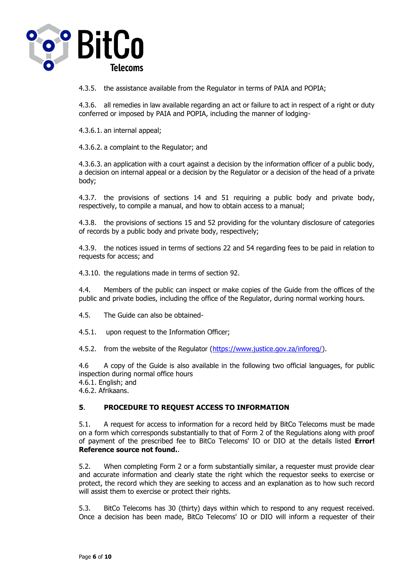

4.3.5. the assistance available from the Regulator in terms of PAIA and POPIA;

4.3.6. all remedies in law available regarding an act or failure to act in respect of a right or duty conferred or imposed by PAIA and POPIA, including the manner of lodging-

4.3.6.1. an internal appeal;

4.3.6.2. a complaint to the Regulator; and

4.3.6.3. an application with a court against a decision by the information officer of a public body, a decision on internal appeal or a decision by the Regulator or a decision of the head of a private body;

4.3.7. the provisions of sections 14 and 51 requiring a public body and private body, respectively, to compile a manual, and how to obtain access to a manual;

4.3.8. the provisions of sections 15 and 52 providing for the voluntary disclosure of categories of records by a public body and private body, respectively;

4.3.9. the notices issued in terms of sections 22 and 54 regarding fees to be paid in relation to requests for access; and

4.3.10. the regulations made in terms of section 92.

4.4. Members of the public can inspect or make copies of the Guide from the offices of the public and private bodies, including the office of the Regulator, during normal working hours.

4.5. The Guide can also be obtained-

4.5.1. upon request to the Information Officer;

4.5.2. from the website of the Regulator [\(https://www.justice.gov.za/inforeg/\)](https://www.justice.gov.za/inforeg/).

4.6 A copy of the Guide is also available in the following two official languages, for public inspection during normal office hours

4.6.1. English; and

4.6.2. Afrikaans.

## **5**. **PROCEDURE TO REQUEST ACCESS TO INFORMATION**

5.1. A request for access to information for a record held by BitCo Telecoms must be made on a form which corresponds substantially to that of Form 2 of the Regulations along with proof of payment of the prescribed fee to BitCo Telecoms' IO or DIO at the details listed **Error! Reference source not found.**.

5.2. When completing Form 2 or a form substantially similar, a requester must provide clear and accurate information and clearly state the right which the requestor seeks to exercise or protect, the record which they are seeking to access and an explanation as to how such record will assist them to exercise or protect their rights.

5.3. BitCo Telecoms has 30 (thirty) days within which to respond to any request received. Once a decision has been made, BitCo Telecoms' IO or DIO will inform a requester of their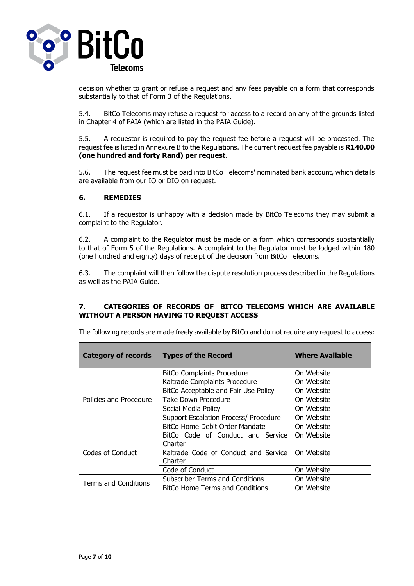

decision whether to grant or refuse a request and any fees payable on a form that corresponds substantially to that of Form 3 of the Regulations.

5.4. BitCo Telecoms may refuse a request for access to a record on any of the grounds listed in Chapter 4 of PAIA (which are listed in the PAIA Guide).

5.5. A requestor is required to pay the request fee before a request will be processed. The request fee is listed in Annexure B to the Regulations. The current request fee payable is **R140.00 (one hundred and forty Rand) per request**.

5.6. The request fee must be paid into BitCo Telecoms' nominated bank account, which details are available from our IO or DIO on request.

#### **6. REMEDIES**

6.1. If a requestor is unhappy with a decision made by BitCo Telecoms they may submit a complaint to the Regulator.

6.2. A complaint to the Regulator must be made on a form which corresponds substantially to that of Form 5 of the Regulations. A complaint to the Regulator must be lodged within 180 (one hundred and eighty) days of receipt of the decision from BitCo Telecoms.

6.3. The complaint will then follow the dispute resolution process described in the Regulations as well as the PAIA Guide.

## **7**. **CATEGORIES OF RECORDS OF BITCO TELECOMS WHICH ARE AVAILABLE WITHOUT A PERSON HAVING TO REQUEST ACCESS**

| <b>Category of records</b>  | <b>Types of the Record</b>                      | <b>Where Available</b> |
|-----------------------------|-------------------------------------------------|------------------------|
|                             | <b>BitCo Complaints Procedure</b>               | On Website             |
|                             | Kaltrade Complaints Procedure                   | On Website             |
|                             | BitCo Acceptable and Fair Use Policy            | On Website             |
| Policies and Procedure      | <b>Take Down Procedure</b>                      | On Website             |
|                             | Social Media Policy                             | On Website             |
|                             | Support Escalation Process/ Procedure           | On Website             |
|                             | <b>BitCo Home Debit Order Mandate</b>           | On Website             |
|                             | BitCo Code of Conduct and Service<br>Charter    | On Website             |
| <b>Codes of Conduct</b>     | Kaltrade Code of Conduct and Service<br>Charter | On Website             |
|                             | Code of Conduct                                 | On Website             |
| <b>Terms and Conditions</b> | <b>Subscriber Terms and Conditions</b>          | On Website             |
|                             | <b>BitCo Home Terms and Conditions</b>          | On Website             |

The following records are made freely available by BitCo and do not require any request to access: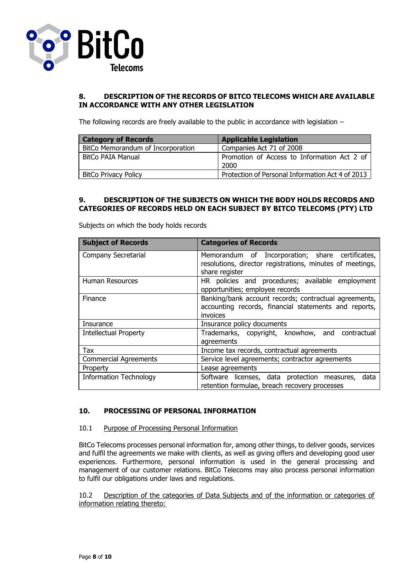

#### **8. DESCRIPTION OF THE RECORDS OF BITCO TELECOMS WHICH ARE AVAILABLE IN ACCORDANCE WITH ANY OTHER LEGISLATION**

The following records are freely available to the public in accordance with legislation –

| <b>Category of Records</b>        | <b>Applicable Legislation</b>                       |
|-----------------------------------|-----------------------------------------------------|
| BitCo Memorandum of Incorporation | Companies Act 71 of 2008                            |
| BitCo PAIA Manual                 | Promotion of Access to Information Act 2 of<br>2000 |
| <b>BitCo Privacy Policy</b>       | Protection of Personal Information Act 4 of 2013    |

## **9. DESCRIPTION OF THE SUBJECTS ON WHICH THE BODY HOLDS RECORDS AND CATEGORIES OF RECORDS HELD ON EACH SUBJECT BY BITCO TELECOMS (PTY) LTD**

| <b>Subject of Records</b>     | <b>Categories of Records</b>                                                                                                    |
|-------------------------------|---------------------------------------------------------------------------------------------------------------------------------|
| Company Secretarial           | Memorandum of Incorporation; share certificates,<br>resolutions, director registrations, minutes of meetings,<br>share register |
| Human Resources               | HR policies and procedures; available employment<br>opportunities; employee records                                             |
| Finance                       | Banking/bank account records; contractual agreements,<br>accounting records, financial statements and reports,<br>invoices      |
| Insurance                     | Insurance policy documents                                                                                                      |
| <b>Intellectual Property</b>  | Trademarks, copyright, knowhow, and contractual<br>agreements                                                                   |
| Tax                           | Income tax records, contractual agreements                                                                                      |
| <b>Commercial Agreements</b>  | Service level agreements; contractor agreements                                                                                 |
| Property                      | Lease agreements                                                                                                                |
| <b>Information Technology</b> | Software licenses, data protection measures,<br>data<br>retention formulae, breach recovery processes                           |

Subjects on which the body holds records

## **10. PROCESSING OF PERSONAL INFORMATION**

#### 10.1 Purpose of Processing Personal Information

BitCo Telecoms processes personal information for, among other things, to deliver goods, services and fulfil the agreements we make with clients, as well as giving offers and developing good user experiences. Furthermore, personal information is used in the general processing and management of our customer relations. BitCo Telecoms may also process personal information to fulfil our obligations under laws and regulations.

#### 10.2 Description of the categories of Data Subjects and of the information or categories of information relating thereto: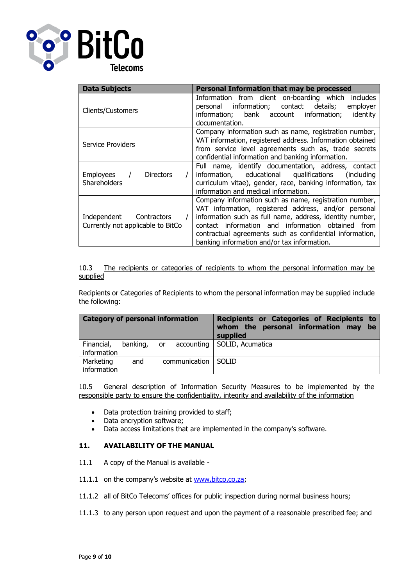

| <b>Data Subjects</b>                                         | Personal Information that may be processed                                                                                                                                                                                                                                                                                                 |
|--------------------------------------------------------------|--------------------------------------------------------------------------------------------------------------------------------------------------------------------------------------------------------------------------------------------------------------------------------------------------------------------------------------------|
| <b>Clients/Customers</b>                                     | Information from client on-boarding which includes<br>personal information; contact details;<br>employer<br>information; bank account information;<br>identity<br>documentation.                                                                                                                                                           |
| Service Providers                                            | Company information such as name, registration number,<br>VAT information, registered address. Information obtained<br>from service level agreements such as, trade secrets<br>confidential information and banking information.                                                                                                           |
| Employees<br><b>Directors</b><br><b>Shareholders</b>         | Full name, identify documentation, address, contact<br>information, educational qualifications<br>includina)<br>curriculum vitae), gender, race, banking information, tax<br>information and medical information.                                                                                                                          |
| Independent Contractors<br>Currently not applicable to BitCo | Company information such as name, registration number,<br>VAT information, registered address, and/or personal<br>information such as full name, address, identity number,<br>contact information and information obtained from<br>contractual agreements such as confidential information,<br>banking information and/or tax information. |

10.3 The recipients or categories of recipients to whom the personal information may be supplied

Recipients or Categories of Recipients to whom the personal information may be supplied include the following:

| <b>Category of personal information</b>                  | Recipients or Categories of Recipients to<br>whom the personal information may be<br>supplied |
|----------------------------------------------------------|-----------------------------------------------------------------------------------------------|
| banking, or<br>Financial,<br>accounting  <br>information | SOLID, Acumatica                                                                              |
| Marketing<br>communication<br>and<br>information         | <b>SOLID</b>                                                                                  |

10.5 General description of Information Security Measures to be implemented by the responsible party to ensure the confidentiality, integrity and availability of the information

- Data protection training provided to staff;
- Data encryption software;
- Data access limitations that are implemented in the company's software.

## **11. AVAILABILITY OF THE MANUAL**

- 11.1 A copy of the Manual is available -
- 11.1.1 on the company's website at [www.bitco.co.za;](http://www.bitco.co.za/)
- 11.1.2 all of BitCo Telecoms' offices for public inspection during normal business hours;
- 11.1.3 to any person upon request and upon the payment of a reasonable prescribed fee; and